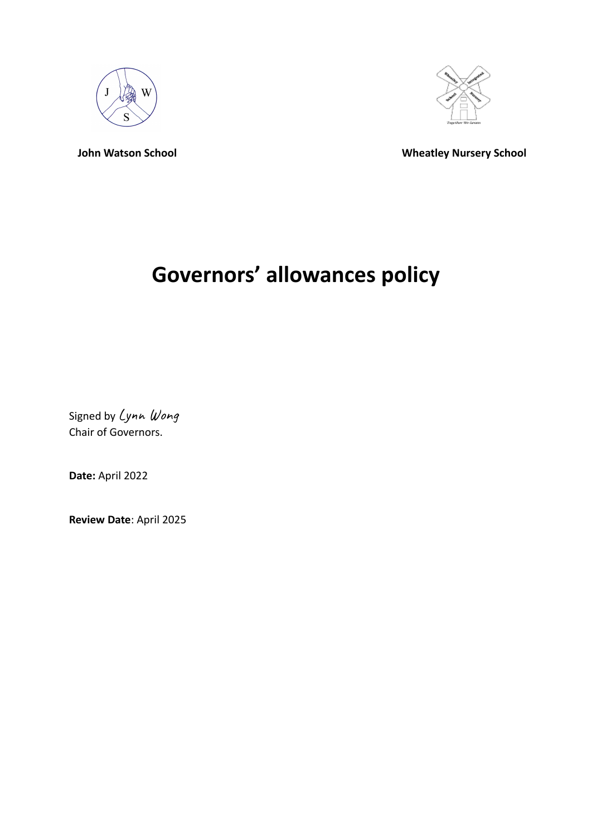



**John Watson School Wheatley Nursery School**

# **Governors' allowances policy**

Signed by Lynn Wong Chair of Governors.

**Date:** April 2022

**Review Date**: April 2025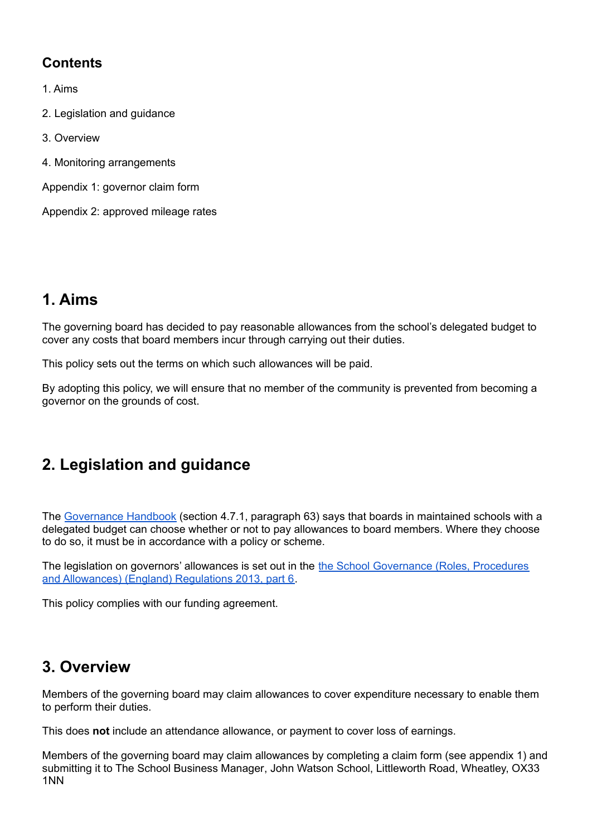#### **Contents**

- 1. Aims
- 2. Legislation and guidance
- 3. Overview
- 4. Monitoring arrangements
- Appendix 1: governor claim form

Appendix 2: approved mileage rates

## **1. Aims**

The governing board has decided to pay reasonable allowances from the school's delegated budget to cover any costs that board members incur through carrying out their duties.

This policy sets out the terms on which such allowances will be paid.

By adopting this policy, we will ensure that no member of the community is prevented from becoming a governor on the grounds of cost.

# **2. Legislation and guidance**

The [Governance](https://www.gov.uk/government/uploads/system/uploads/attachment_data/file/582868/Governance_Handbook_-_January_2017.pdf) Handbook (section 4.7.1, paragraph 63) says that boards in maintained schools with a delegated budget can choose whether or not to pay allowances to board members. Where they choose to do so, it must be in accordance with a policy or scheme.

The legislation on governors' allowances is set out in the the School [Governance](http://www.legislation.gov.uk/uksi/2013/1624/part/6/made) (Roles, Procedures and [Allowances\)](http://www.legislation.gov.uk/uksi/2013/1624/part/6/made) (England) Regulations 2013, part 6.

This policy complies with our funding agreement.

### **3. Overview**

Members of the governing board may claim allowances to cover expenditure necessary to enable them to perform their duties.

This does **not** include an attendance allowance, or payment to cover loss of earnings.

Members of the governing board may claim allowances by completing a claim form (see appendix 1) and submitting it to The School Business Manager, John Watson School, Littleworth Road, Wheatley, OX33 1NN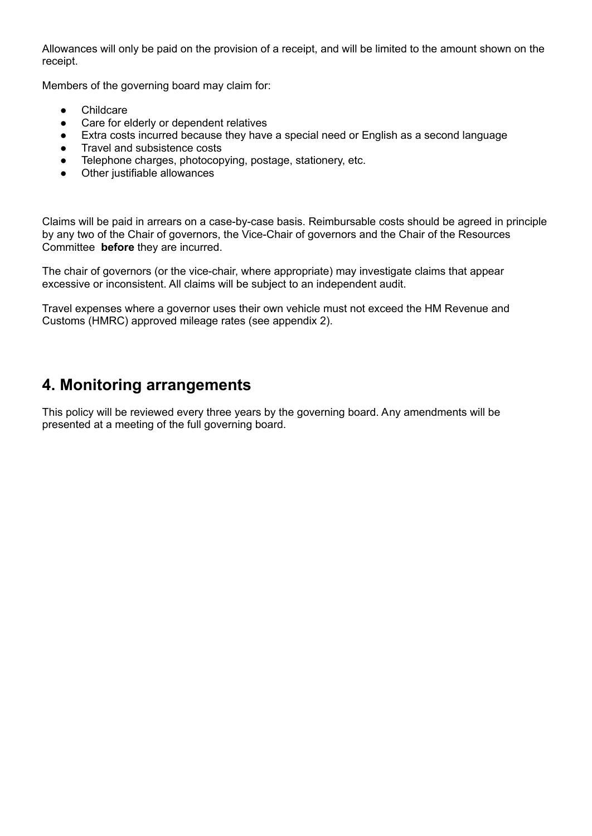Allowances will only be paid on the provision of a receipt, and will be limited to the amount shown on the receipt.

Members of the governing board may claim for:

- Childcare
- Care for elderly or dependent relatives
- Extra costs incurred because they have a special need or English as a second language
- Travel and subsistence costs
- Telephone charges, photocopying, postage, stationery, etc.
- Other justifiable allowances

Claims will be paid in arrears on a case-by-case basis. Reimbursable costs should be agreed in principle by any two of the Chair of governors, the Vice-Chair of governors and the Chair of the Resources Committee **before** they are incurred.

The chair of governors (or the vice-chair, where appropriate) may investigate claims that appear excessive or inconsistent. All claims will be subject to an independent audit.

Travel expenses where a governor uses their own vehicle must not exceed the HM Revenue and Customs (HMRC) approved mileage rates (see appendix 2).

### **4. Monitoring arrangements**

This policy will be reviewed every three years by the governing board. Any amendments will be presented at a meeting of the full governing board.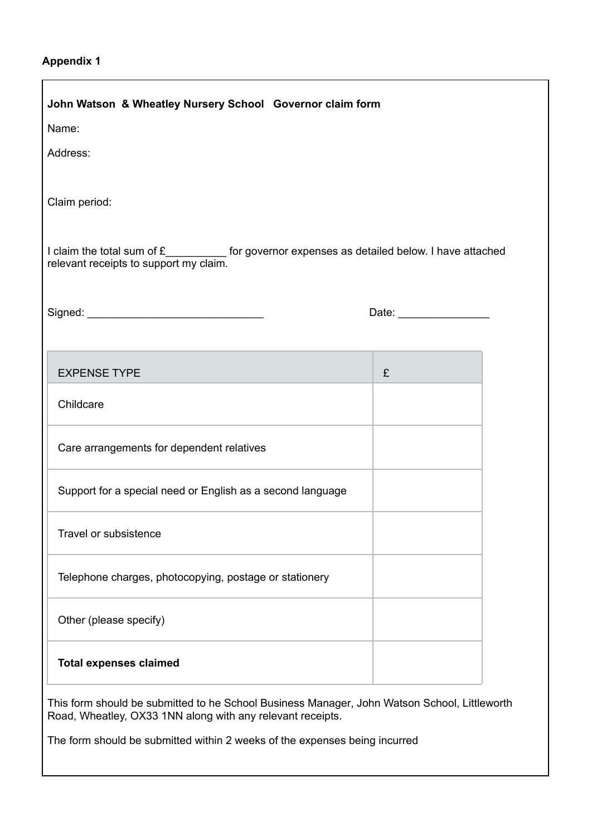#### **Appendix 1**

 $\Gamma$ 

| John Watson & Wheatley Nursery School Governor claim form                                                                                                  |   |  |  |
|------------------------------------------------------------------------------------------------------------------------------------------------------------|---|--|--|
| Name:                                                                                                                                                      |   |  |  |
| Address:                                                                                                                                                   |   |  |  |
|                                                                                                                                                            |   |  |  |
| Claim period:                                                                                                                                              |   |  |  |
|                                                                                                                                                            |   |  |  |
| I claim the total sum of £__________ for governor expenses as detailed below. I have attached relevant receipts to support my claim.                       |   |  |  |
|                                                                                                                                                            |   |  |  |
|                                                                                                                                                            |   |  |  |
|                                                                                                                                                            |   |  |  |
|                                                                                                                                                            |   |  |  |
| <b>EXPENSE TYPE</b>                                                                                                                                        | £ |  |  |
| Childcare                                                                                                                                                  |   |  |  |
| Care arrangements for dependent relatives                                                                                                                  |   |  |  |
| Support for a special need or English as a second language                                                                                                 |   |  |  |
| Travel or subsistence                                                                                                                                      |   |  |  |
| Telephone charges, photocopying, postage or stationery                                                                                                     |   |  |  |
| Other (please specify)                                                                                                                                     |   |  |  |
| <b>Total expenses claimed</b>                                                                                                                              |   |  |  |
| This form should be submitted to he School Business Manager, John Watson School, Littleworth<br>Road, Wheatley, OX33 1NN along with any relevant receipts. |   |  |  |
| The form should be submitted within 2 weeks of the expenses being incurred                                                                                 |   |  |  |